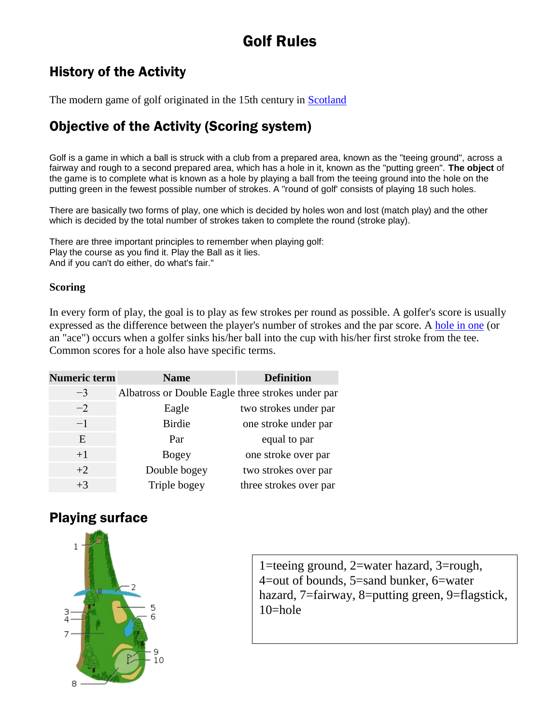# Golf Rules

### History of the Activity

The modern game of golf originated in the 15th century in [Scotland](http://en.wikipedia.org/wiki/Scotland)

# Objective of the Activity (Scoring system)

Golf is a game in which a ball is struck with a club from a prepared area, known as the "teeing ground", across a fairway and rough to a second prepared area, which has a hole in it, known as the "putting green". **The object** of the game is to complete what is known as a hole by playing a ball from the teeing ground into the hole on the putting green in the fewest possible number of strokes. A "round of golf' consists of playing 18 such holes.

There are basically two forms of play, one which is decided by holes won and lost (match play) and the other which is decided by the total number of strokes taken to complete the round (stroke play).

There are three important principles to remember when playing golf: Play the course as you find it. Play the Ball as it lies. And if you can't do either, do what's fair."

#### **Scoring**

In every form of play, the goal is to play as few strokes per round as possible. A golfer's score is usually expressed as the difference between the player's number of strokes and the par score. A [hole in one](http://en.wikipedia.org/wiki/Hole_in_one) (or an "ace") occurs when a golfer sinks his/her ball into the cup with his/her first stroke from the tee. Common scores for a hole also have specific terms.

| <b>Numeric term</b> | <b>Name</b>                                       | <b>Definition</b>      |
|---------------------|---------------------------------------------------|------------------------|
| $-3$                | Albatross or Double Eagle three strokes under par |                        |
| $-2$                | Eagle                                             | two strokes under par  |
| $-1$                | <b>Birdie</b>                                     | one stroke under par   |
| E                   | Par                                               | equal to par           |
| $+1$                | <b>Bogey</b>                                      | one stroke over par    |
| $+2$                | Double bogey                                      | two strokes over par   |
| $+3$                | Triple bogey                                      | three strokes over par |

# Playing surface



1=teeing ground, 2=water hazard, 3=rough, 4=out of bounds, 5=sand bunker, 6=water hazard, 7=fairway, 8=putting green, 9=flagstick,  $10$ =hole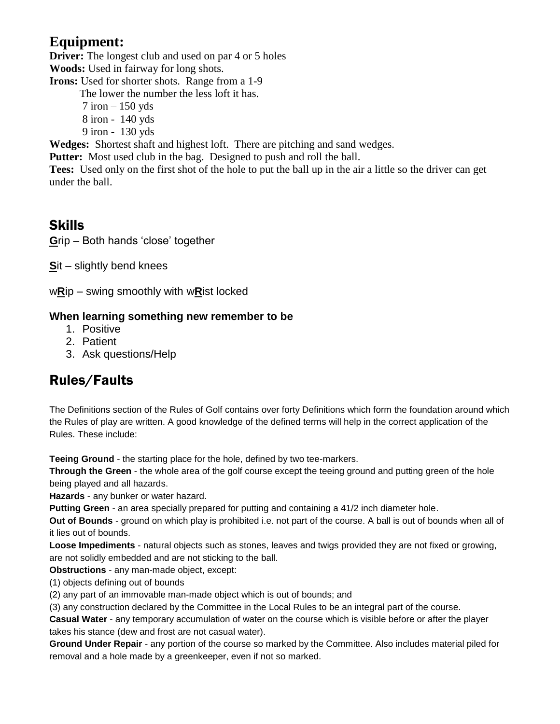### **Equipment:**

**Driver:** The longest club and used on par 4 or 5 holes

**Woods:** Used in fairway for long shots. **Irons:** Used for shorter shots. Range from a 1-9

The lower the number the less loft it has.

 $7$  iron  $-150$  yds 8 iron - 140 yds

9 iron - 130 yds

**Wedges:** Shortest shaft and highest loft. There are pitching and sand wedges.

**Putter:** Most used club in the bag. Designed to push and roll the ball.

**Tees:** Used only on the first shot of the hole to put the ball up in the air a little so the driver can get under the ball.

# Skills

**G**rip – Both hands 'close' together

**S**it – slightly bend knees

w**R**ip – swing smoothly with w**R**ist locked

### **When learning something new remember to be**

- 1. Positive
- 2. Patient
- 3. Ask questions/Help

# Rules/Faults

The Definitions section of the Rules of Golf contains over forty Definitions which form the foundation around which the Rules of play are written. A good knowledge of the defined terms will help in the correct application of the Rules. These include:

**Teeing Ground** - the starting place for the hole, defined by two tee-markers.

**Through the Green** - the whole area of the golf course except the teeing ground and putting green of the hole being played and all hazards.

**Hazards** - any bunker or water hazard.

**Putting Green** - an area specially prepared for putting and containing a 41/2 inch diameter hole.

**Out of Bounds** - ground on which play is prohibited i.e. not part of the course. A ball is out of bounds when all of it lies out of bounds.

**Loose Impediments** - natural objects such as stones, leaves and twigs provided they are not fixed or growing, are not solidly embedded and are not sticking to the ball.

**Obstructions** - any man-made object, except:

(1) objects defining out of bounds

(2) any part of an immovable man-made object which is out of bounds; and

(3) any construction declared by the Committee in the Local Rules to be an integral part of the course.

**Casual Water** - any temporary accumulation of water on the course which is visible before or after the player takes his stance (dew and frost are not casual water).

**Ground Under Repair** - any portion of the course so marked by the Committee. Also includes material piled for removal and a hole made by a greenkeeper, even if not so marked.